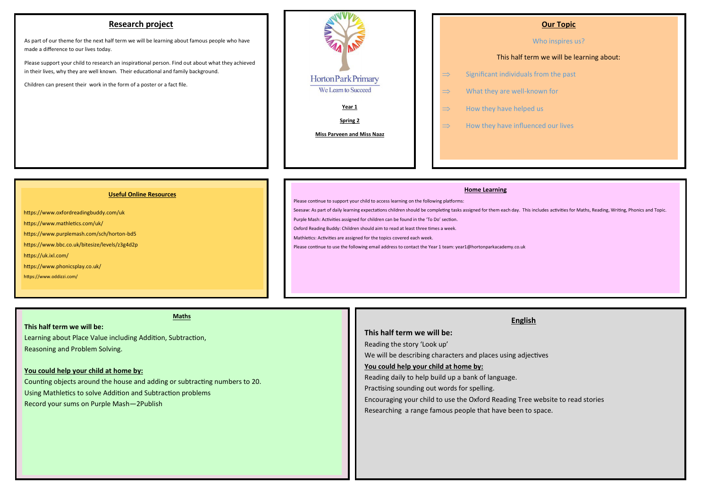# **Research project**

As part of our theme for the next half term we will be learning about famous people who have made a difference to our lives today.

Please support your child to research an inspirational person. Find out about what they achieved in their lives, why they are well known. Their educational and family background.

Children can present their work in the form of a poster or a fact file.



#### **Our Topic**

#### Who inspires us?

#### This half term we will be learning about:

- $\Rightarrow$  Significant individuals from the past
- $\Rightarrow$  What they are well-known for
- $\Rightarrow$  How they have helped us
- $\Rightarrow$  How they have influenced our lives

### **Useful Online Resources**

<https://www.oxfordreadingbuddy.com/uk>

<https://www.mathletics.com/uk/>

[https://www.purplemash.com/sch/horton](https://www.purplemash.com/sch/horton-bd5)-bd5

<https://www.bbc.co.uk/bitesize/levels/z3g4d2p>

<https://uk.ixl.com/>

https://www.phonicsplay.co.uk/

https://www.oddizzi.com/

#### Please continue to support your child to access learning on the following platforms:

Seesaw: As part of daily learning expectations children should be completing tasks assigned for them each day. This includes activities for Maths, Reading, Writing, Phonics and Topic.

**Home Learning**

Purple Mash: Activities assigned for children can be found in the 'To Do' section.

Oxford Reading Buddy: Children should aim to read at least three times a week.

Mathletics: Activities are assigned for the topics covered each week.

Please continue to use the following email address to contact the Year 1 team: year1@hortonparkacademy.co.uk

### **Maths**

#### **This half term we will be:**

Learning about Place Value including Addition, Subtraction, Reasoning and Problem Solving.

#### **You could help your child at home by:**

Counting objects around the house and adding or subtracting numbers to 20. Using Mathletics to solve Addition and Subtraction problems Record your sums on Purple Mash—2Publish

## **English**

# **This half term we will be:**  Reading the story 'Look up'

We will be describing characters and places using adjectives

#### **You could help your child at home by:**

Reading daily to help build up a bank of language.

Practising sounding out words for spelling.

Encouraging your child to use the Oxford Reading Tree website to read stories

Researching a range famous people that have been to space.